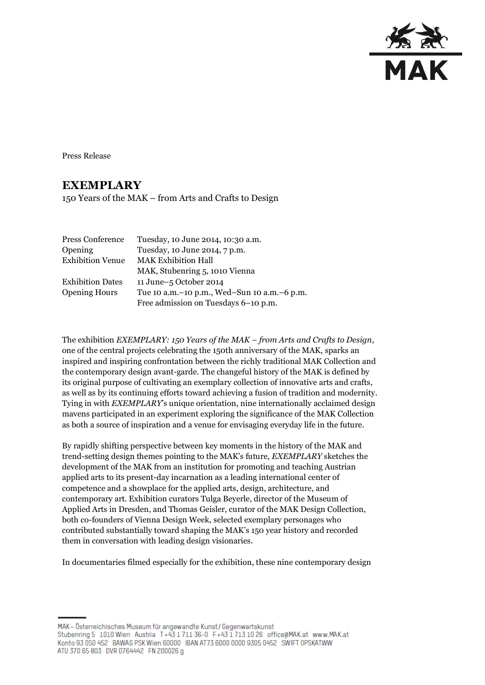

Press Release

## **EXEMPLARY**

150 Years of the MAK – from Arts and Crafts to Design

| Tuesday, 10 June 2014, 10:30 a.m.               |
|-------------------------------------------------|
| Tuesday, 10 June 2014, 7 p.m.                   |
| <b>MAK Exhibition Hall</b>                      |
| MAK, Stubenring 5, 1010 Vienna                  |
| 11 June-5 October 2014                          |
| Tue 10 a.m. - 10 p.m., Wed-Sun 10 a.m. - 6 p.m. |
| Free admission on Tuesdays 6-10 p.m.            |
|                                                 |

The exhibition *EXEMPLARY: 150 Years of the MAK – from Arts and Crafts to Design*, one of the central projects celebrating the 150th anniversary of the MAK, sparks an inspired and inspiring confrontation between the richly traditional MAK Collection and the contemporary design avant-garde. The changeful history of the MAK is defined by its original purpose of cultivating an exemplary collection of innovative arts and crafts, as well as by its continuing efforts toward achieving a fusion of tradition and modernity. Tying in with *EXEMPLARY*'s unique orientation, nine internationally acclaimed design mavens participated in an experiment exploring the significance of the MAK Collection as both a source of inspiration and a venue for envisaging everyday life in the future.

By rapidly shifting perspective between key moments in the history of the MAK and trend-setting design themes pointing to the MAK's future, *EXEMPLARY* sketches the development of the MAK from an institution for promoting and teaching Austrian applied arts to its present-day incarnation as a leading international center of competence and a showplace for the applied arts, design, architecture, and contemporary art. Exhibition curators Tulga Beyerle, director of the Museum of Applied Arts in Dresden, and Thomas Geisler, curator of the MAK Design Collection, both co-founders of Vienna Design Week, selected exemplary personages who contributed substantially toward shaping the MAK's 150 year history and recorded them in conversation with leading design visionaries.

In documentaries filmed especially for the exhibition, these nine contemporary design

MAK - Österreichisches Museum für angewandte Kunst/Gegenwartskunst Stubenring 5 1010 Wien Austria T+43 1711 36-0 F+43 1713 10 26 office@MAK.at www.MAK.at Konto 93 050 452 BAWAG PSK Wien 60000 BAN AT73 6000 0000 9305 0452 SWIFT 0PSKATWW ATU 370 65 803 DVR 0764442 FN 200026 g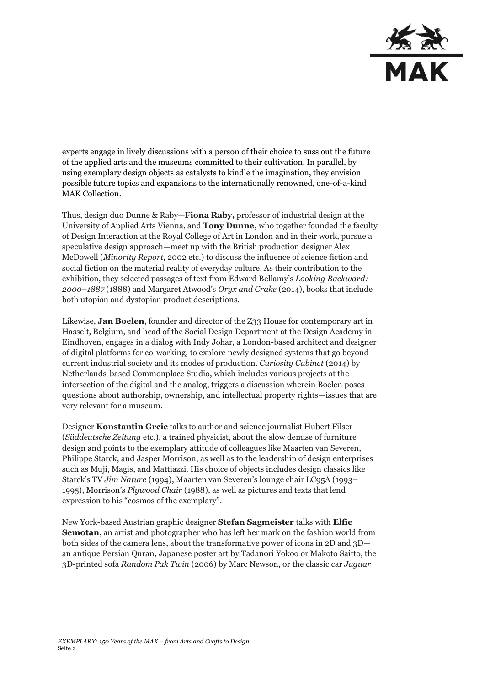

experts engage in lively discussions with a person of their choice to suss out the future of the applied arts and the museums committed to their cultivation. In parallel, by using exemplary design objects as catalysts to kindle the imagination, they envision possible future topics and expansions to the internationally renowned, one-of-a-kind MAK Collection.

Thus, design duo Dunne & Raby—**Fiona Raby,** professor of industrial design at the University of Applied Arts Vienna, and **Tony Dunne,** who together founded the faculty of Design Interaction at the Royal College of Art in London and in their work, pursue a speculative design approach—meet up with the British production designer Alex McDowell (*Minority Report*, 2002 etc.) to discuss the influence of science fiction and social fiction on the material reality of everyday culture. As their contribution to the exhibition, they selected passages of text from Edward Bellamy's *Looking Backward: 2000–1887* (1888) and Margaret Atwood's *Oryx and Crake* (2014), books that include both utopian and dystopian product descriptions.

Likewise, **Jan Boelen**, founder and director of the Z33 House for contemporary art in Hasselt, Belgium, and head of the Social Design Department at the Design Academy in Eindhoven, engages in a dialog with Indy Johar, a London-based architect and designer of digital platforms for co-working, to explore newly designed systems that go beyond current industrial society and its modes of production. *Curiosity Cabinet* (2014) by Netherlands-based Commonplace Studio, which includes various projects at the intersection of the digital and the analog, triggers a discussion wherein Boelen poses questions about authorship, ownership, and intellectual property rights—issues that are very relevant for a museum.

Designer **Konstantin Grcic** talks to author and science journalist Hubert Filser (*Süddeutsche Zeitung* etc.), a trained physicist, about the slow demise of furniture design and points to the exemplary attitude of colleagues like Maarten van Severen, Philippe Starck, and Jasper Morrison, as well as to the leadership of design enterprises such as Muji, Magis, and Mattiazzi. His choice of objects includes design classics like Starck's TV *Jim Nature* (1994), Maarten van Severen's lounge chair LC95A (1993– 1995), Morrison's *Plywood Chair* (1988), as well as pictures and texts that lend expression to his "cosmos of the exemplary".

New York-based Austrian graphic designer **Stefan Sagmeister** talks with **Elfie Semotan**, an artist and photographer who has left her mark on the fashion world from both sides of the camera lens, about the transformative power of icons in 2D and 3D an antique Persian Quran, Japanese poster art by Tadanori Yokoo or Makoto Saitto, the 3D-printed sofa *Random Pak Twin* (2006) by Marc Newson, or the classic car *Jaguar*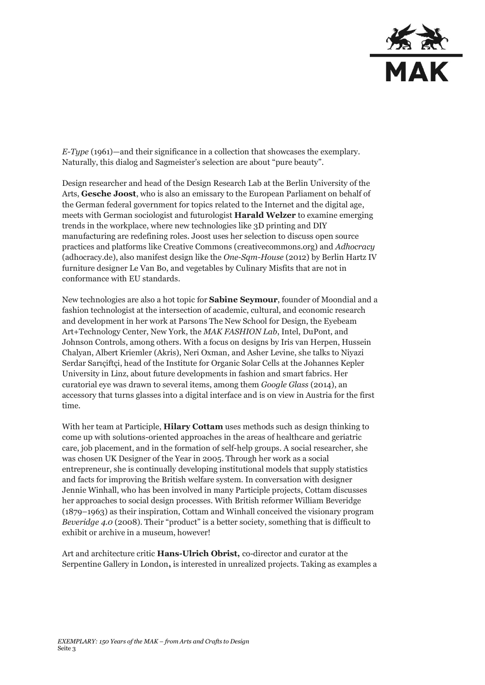

*E-Type* (1961)—and their significance in a collection that showcases the exemplary. Naturally, this dialog and Sagmeister's selection are about "pure beauty".

Design researcher and head of the Design Research Lab at the Berlin University of the Arts, **Gesche Joost**, who is also an emissary to the European Parliament on behalf of the German federal government for topics related to the Internet and the digital age, meets with German sociologist and futurologist **Harald Welzer** to examine emerging trends in the workplace, where new technologies like 3D printing and DIY manufacturing are redefining roles. Joost uses her selection to discuss open source practices and platforms like Creative Commons (creativecommons.org) and *Adhocracy*  (adhocracy.de), also manifest design like the *One-Sqm-House* (2012) by Berlin Hartz IV furniture designer Le Van Bo, and vegetables by Culinary Misfits that are not in conformance with EU standards.

New technologies are also a hot topic for **Sabine Seymour**, founder of Moondial and a fashion technologist at the intersection of academic, cultural, and economic research and development in her work at Parsons The New School for Design, the Eyebeam Art+Technology Center, New York, the *MAK FASHION Lab*, Intel, DuPont, and Johnson Controls, among others. With a focus on designs by Iris van Herpen, Hussein Chalyan, Albert Kriemler (Akris), Neri Oxman, and Asher Levine, she talks to Niyazi Serdar Sarıçiftçi, head of the Institute for Organic Solar Cells at the Johannes Kepler University in Linz, about future developments in fashion and smart fabrics. Her curatorial eye was drawn to several items, among them *Google Glass* (2014), an accessory that turns glasses into a digital interface and is on view in Austria for the first time.

With her team at Participle, **Hilary Cottam** uses methods such as design thinking to come up with solutions-oriented approaches in the areas of healthcare and geriatric care, job placement, and in the formation of self-help groups. A social researcher, she was chosen UK Designer of the Year in 2005. Through her work as a social entrepreneur, she is continually developing institutional models that supply statistics and facts for improving the British welfare system. In conversation with designer Jennie Winhall, who has been involved in many Participle projects, Cottam discusses her approaches to social design processes. With British reformer William Beveridge (1879–1963) as their inspiration, Cottam and Winhall conceived the visionary program *Beveridge 4.0* (2008). Their "product" is a better society, something that is difficult to exhibit or archive in a museum, however!

Art and architecture critic **Hans-Ulrich Obrist,** co-director and curator at the Serpentine Gallery in London**,** is interested in unrealized projects. Taking as examples a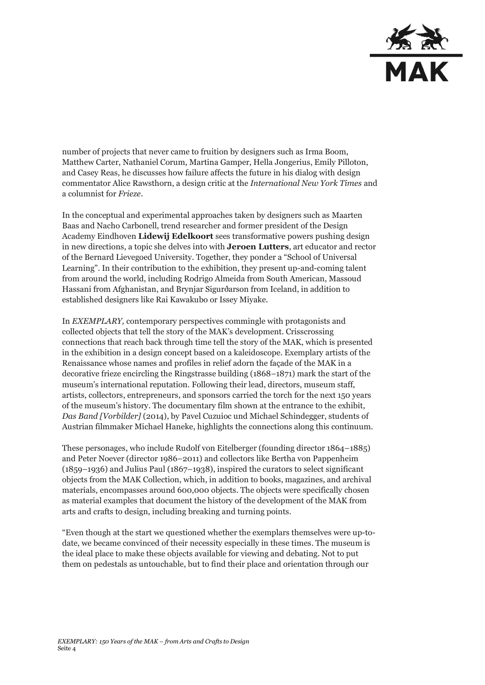

number of projects that never came to fruition by designers such as Irma Boom, Matthew Carter, Nathaniel Corum, Martina Gamper, Hella Jongerius, Emily Pilloton, and Casey Reas, he discusses how failure affects the future in his dialog with design commentator Alice Rawsthorn, a design critic at the *International New York Times* and a columnist for *Frieze*.

In the conceptual and experimental approaches taken by designers such as Maarten Baas and Nacho Carbonell, trend researcher and former president of the Design Academy Eindhoven **Lidewij Edelkoort** sees transformative powers pushing design in new directions, a topic she delves into with **Jeroen Lutters**, art educator and rector of the Bernard Lievegoed University. Together, they ponder a "School of Universal Learning". In their contribution to the exhibition, they present up-and-coming talent from around the world, including Rodrigo Almeida from South American, Massoud Hassani from Afghanistan, and Brynjar Sigurðarson from Iceland, in addition to established designers like Rai Kawakubo or Issey Miyake.

In *EXEMPLARY,* contemporary perspectives commingle with protagonists and collected objects that tell the story of the MAK's development. Crisscrossing connections that reach back through time tell the story of the MAK, which is presented in the exhibition in a design concept based on a kaleidoscope. Exemplary artists of the Renaissance whose names and profiles in relief adorn the façade of the MAK in a decorative frieze encircling the Ringstrasse building (1868–1871) mark the start of the museum's international reputation. Following their lead, directors, museum staff, artists, collectors, entrepreneurs, and sponsors carried the torch for the next 150 years of the museum's history. The documentary film shown at the entrance to the exhibit, *Das Band [Vorbilder]* (2014), by Pavel Cuzuioc und Michael Schindegger, students of Austrian filmmaker Michael Haneke, highlights the connections along this continuum.

These personages, who include Rudolf von Eitelberger (founding director 1864–1885) and Peter Noever (director 1986–2011) and collectors like Bertha von Pappenheim (1859–1936) and Julius Paul (1867–1938), inspired the curators to select significant objects from the MAK Collection, which, in addition to books, magazines, and archival materials, encompasses around 600,000 objects. The objects were specifically chosen as material examples that document the history of the development of the MAK from arts and crafts to design, including breaking and turning points.

"Even though at the start we questioned whether the exemplars themselves were up-todate, we became convinced of their necessity especially in these times. The museum is the ideal place to make these objects available for viewing and debating. Not to put them on pedestals as untouchable, but to find their place and orientation through our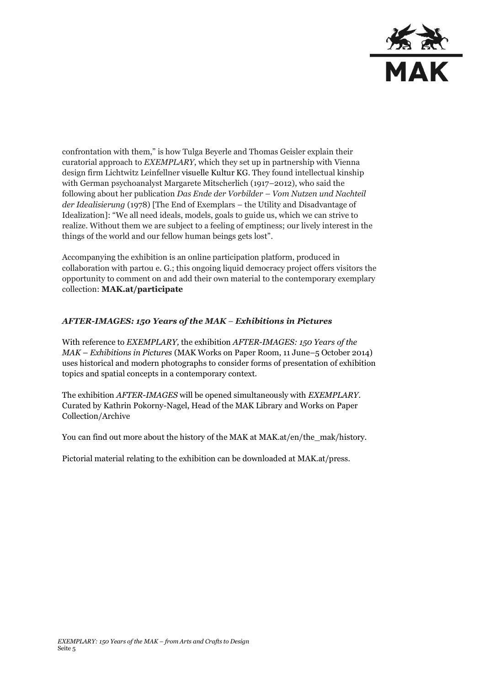

confrontation with them," is how Tulga Beyerle and Thomas Geisler explain their curatorial approach to *EXEMPLARY*, which they set up in partnership with Vienna design firm Lichtwitz Leinfellner visuelle Kultur KG. They found intellectual kinship with German psychoanalyst Margarete Mitscherlich (1917*–*2012), who said the following about her publication *Das Ende der Vorbilder – Vom Nutzen und Nachteil der Idealisierung* (1978) [The End of Exemplars – the Utility and Disadvantage of Idealization]: "We all need ideals, models, goals to guide us, which we can strive to realize. Without them we are subject to a feeling of emptiness; our lively interest in the things of the world and our fellow human beings gets lost".

Accompanying the exhibition is an online participation platform, produced in collaboration with partou e. G.; this ongoing liquid democracy project offers visitors the opportunity to comment on and add their own material to the contemporary exemplary collection: **MAK.at/participate**

## *AFTER-IMAGES: 150 Years of the MAK – Exhibitions in Pictures*

With reference to *EXEMPLARY,* the exhibition *AFTER-IMAGES: 150 Years of the MAK – Exhibitions in Pictures* (MAK Works on Paper Room, 11 June–5 October 2014) uses historical and modern photographs to consider forms of presentation of exhibition topics and spatial concepts in a contemporary context.

The exhibition *AFTER-IMAGES* will be opened simultaneously with *EXEMPLARY*. Curated by Kathrin Pokorny-Nagel, Head of the MAK Library and Works on Paper Collection/Archive

You can find out more about the history of the MAK at MAK.at/en/the\_mak/history.

Pictorial material relating to the exhibition can be downloaded at MAK.at/press.